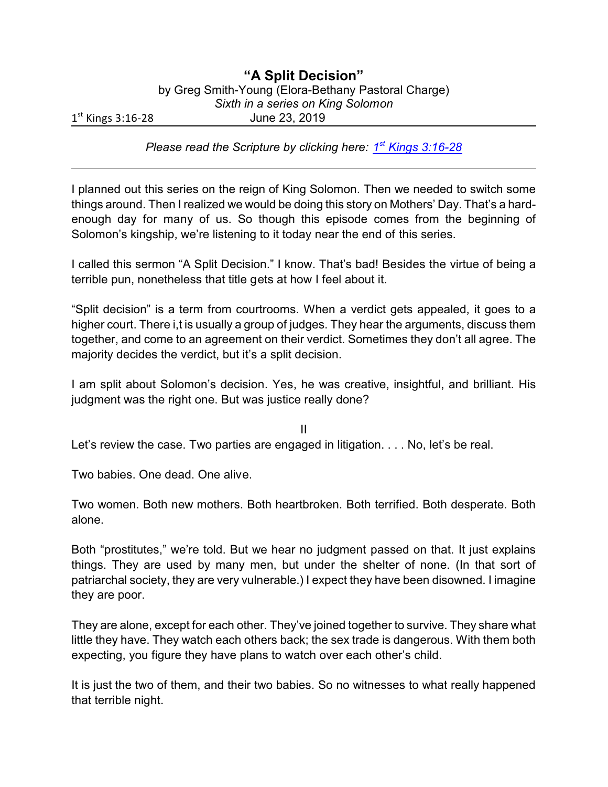## **"A Split Decision"**

by Greg Smith-Young (Elora-Bethany Pastoral Charge)

*Sixth in a series on King Solomon*

1 st Kings 3:16-28 June 23, 2019

*Please read the Scripture by clicking here:* **1st [Kings 3:16-28](https://www.biblegateway.com/passage/?search=1+Kings+3%3A16-28&version=CEB)** 

I planned out this series on the reign of King Solomon. Then we needed to switch some things around. Then I realized we would be doing this story on Mothers' Day. That's a hardenough day for many of us. So though this episode comes from the beginning of Solomon's kingship, we're listening to it today near the end of this series.

I called this sermon "A Split Decision." I know. That's bad! Besides the virtue of being a terrible pun, nonetheless that title gets at how I feel about it.

"Split decision" is a term from courtrooms. When a verdict gets appealed, it goes to a higher court. There i,t is usually a group of judges. They hear the arguments, discuss them together, and come to an agreement on their verdict. Sometimes they don't all agree. The majority decides the verdict, but it's a split decision.

I am split about Solomon's decision. Yes, he was creative, insightful, and brilliant. His judgment was the right one. But was justice really done?

II Let's review the case. Two parties are engaged in litigation. . . . No, let's be real.

Two babies. One dead. One alive.

Two women. Both new mothers. Both heartbroken. Both terrified. Both desperate. Both alone.

Both "prostitutes," we're told. But we hear no judgment passed on that. It just explains things. They are used by many men, but under the shelter of none. (In that sort of patriarchal society, they are very vulnerable.) I expect they have been disowned. I imagine they are poor.

They are alone, except for each other. They've joined together to survive. They share what little they have. They watch each others back; the sex trade is dangerous. With them both expecting, you figure they have plans to watch over each other's child.

It is just the two of them, and their two babies. So no witnesses to what really happened that terrible night.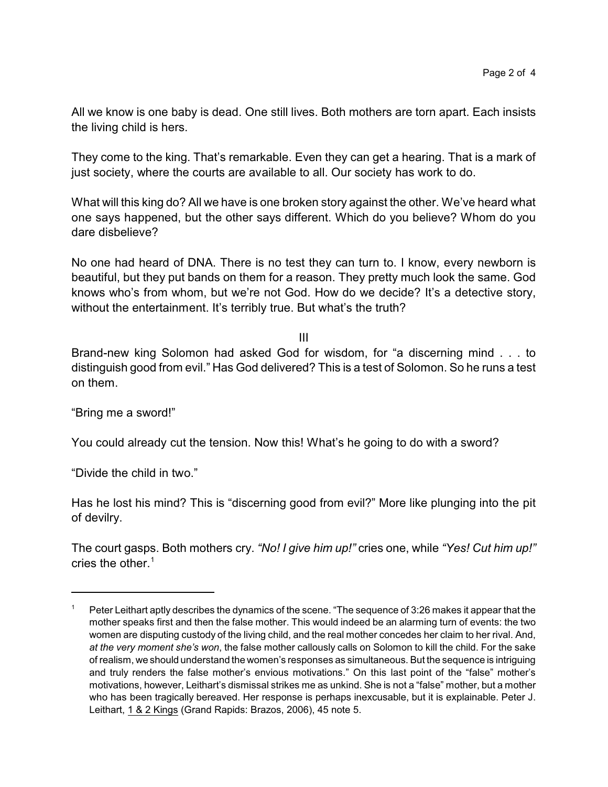All we know is one baby is dead. One still lives. Both mothers are torn apart. Each insists the living child is hers.

They come to the king. That's remarkable. Even they can get a hearing. That is a mark of just society, where the courts are available to all. Our society has work to do.

What will this king do? All we have is one broken story against the other. We've heard what one says happened, but the other says different. Which do you believe? Whom do you dare disbelieve?

No one had heard of DNA. There is no test they can turn to. I know, every newborn is beautiful, but they put bands on them for a reason. They pretty much look the same. God knows who's from whom, but we're not God. How do we decide? It's a detective story, without the entertainment. It's terribly true. But what's the truth?

III

Brand-new king Solomon had asked God for wisdom, for "a discerning mind . . . to distinguish good from evil." Has God delivered? This is a test of Solomon. So he runs a test on them.

"Bring me a sword!"

You could already cut the tension. Now this! What's he going to do with a sword?

"Divide the child in two."

Has he lost his mind? This is "discerning good from evil?" More like plunging into the pit of devilry.

The court gasps. Both mothers cry. *"No! I give him up!"* cries one, while *"Yes! Cut him up!"* cries the other. $1$ 

<sup>1</sup> Peter Leithart aptly describes the dynamics of the scene. "The sequence of 3:26 makes it appear that the mother speaks first and then the false mother. This would indeed be an alarming turn of events: the two women are disputing custody of the living child, and the real mother concedes her claim to her rival. And, *at the very moment she's won*, the false mother callously calls on Solomon to kill the child. For the sake of realism, we should understand the women's responses as simultaneous. But the sequence is intriguing and truly renders the false mother's envious motivations." On this last point of the "false" mother's motivations, however, Leithart's dismissal strikes me as unkind. She is not a "false" mother, but a mother who has been tragically bereaved. Her response is perhaps inexcusable, but it is explainable. Peter J. Leithart, 1 & 2 Kings (Grand Rapids: Brazos, 2006), 45 note 5.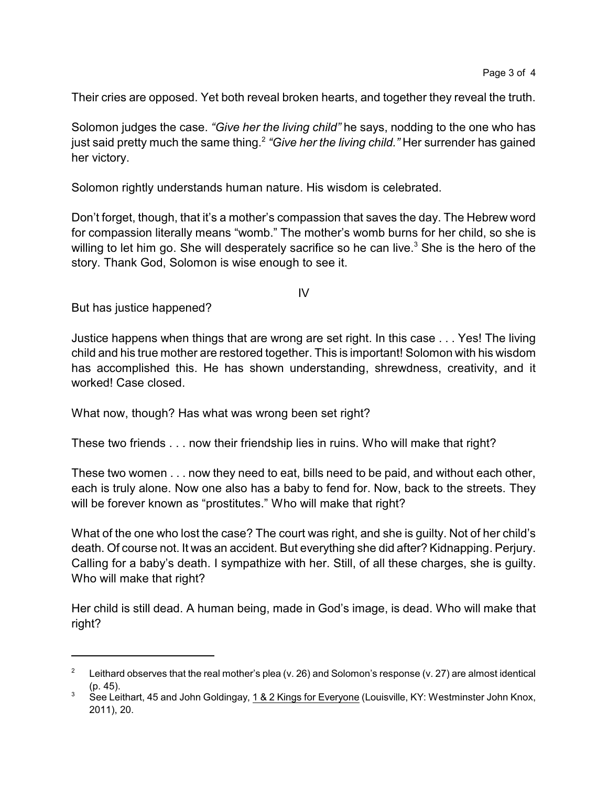Their cries are opposed. Yet both reveal broken hearts, and together they reveal the truth.

Solomon judges the case. *"Give her the living child"* he says, nodding to the one who has just said pretty much the same thing. 2 *"Give her the living child."* Her surrender has gained her victory.

Solomon rightly understands human nature. His wisdom is celebrated.

Don't forget, though, that it's a mother's compassion that saves the day. The Hebrew word for compassion literally means "womb." The mother's womb burns for her child, so she is willing to let him go. She will desperately sacrifice so he can live.<sup>3</sup> She is the hero of the story. Thank God, Solomon is wise enough to see it.

IV

But has justice happened?

Justice happens when things that are wrong are set right. In this case . . . Yes! The living child and his true mother are restored together. This is important! Solomon with his wisdom has accomplished this. He has shown understanding, shrewdness, creativity, and it worked! Case closed.

What now, though? Has what was wrong been set right?

These two friends . . . now their friendship lies in ruins. Who will make that right?

These two women . . . now they need to eat, bills need to be paid, and without each other, each is truly alone. Now one also has a baby to fend for. Now, back to the streets. They will be forever known as "prostitutes." Who will make that right?

What of the one who lost the case? The court was right, and she is guilty. Not of her child's death. Of course not. It was an accident. But everything she did after? Kidnapping. Perjury. Calling for a baby's death. I sympathize with her. Still, of all these charges, she is guilty. Who will make that right?

Her child is still dead. A human being, made in God's image, is dead. Who will make that right?

<sup>2</sup> Leithard observes that the real mother's plea (v. 26) and Solomon's response (v. 27) are almost identical (p. 45).

<sup>&</sup>lt;sup>3</sup> See Leithart, 45 and John Goldingay, 1 & 2 Kings for Everyone (Louisville, KY: Westminster John Knox, 2011), 20.